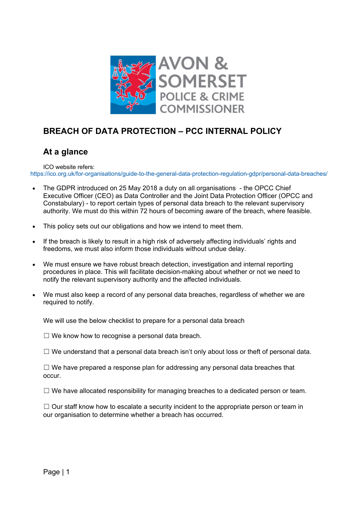

# **BREACH OF DATA PROTECTION – PCC INTERNAL POLICY**

## **At a glance**

ICO website refers:

https://ico.org.uk/for-organisations/guide-to-the-general-data-protection-regulation-gdpr/personal-data-breaches/

- The GDPR introduced on 25 May 2018 a duty on all organisations the OPCC Chief Executive Officer (CEO) as Data Controller and the Joint Data Protection Officer (OPCC and Constabulary) - to report certain types of personal data breach to the relevant supervisory authority. We must do this within 72 hours of becoming aware of the breach, where feasible.
- This policy sets out our obligations and how we intend to meet them.
- If the breach is likely to result in a high risk of adversely affecting individuals' rights and freedoms, we must also inform those individuals without undue delay.
- We must ensure we have robust breach detection, investigation and internal reporting procedures in place. This will facilitate decision-making about whether or not we need to notify the relevant supervisory authority and the affected individuals.
- We must also keep a record of any personal data breaches, regardless of whether we are required to notify.

We will use the below checklist to prepare for a personal data breach

 $\Box$  We know how to recognise a personal data breach.

 $\Box$  We understand that a personal data breach isn't only about loss or theft of personal data.

 $\Box$  We have prepared a response plan for addressing any personal data breaches that occur.

 $\Box$  We have allocated responsibility for managing breaches to a dedicated person or team.

 $\Box$  Our staff know how to escalate a security incident to the appropriate person or team in our organisation to determine whether a breach has occurred.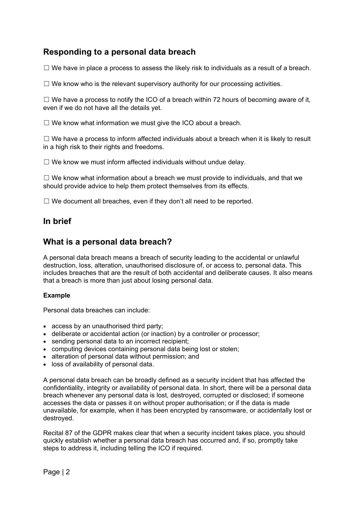## **Responding to a personal data breach**

 $\Box$  We have in place a process to assess the likely risk to individuals as a result of a breach.

 $\Box$  We know who is the relevant supervisory authority for our processing activities.

 $\Box$  We have a process to notify the ICO of a breach within 72 hours of becoming aware of it, even if we do not have all the details yet.

 $\Box$  We know what information we must give the ICO about a breach.

 $\Box$  We have a process to inform affected individuals about a breach when it is likely to result in a high risk to their rights and freedoms.

 $\Box$  We know we must inform affected individuals without undue delay.

 $\Box$  We know what information about a breach we must provide to individuals, and that we should provide advice to help them protect themselves from its effects.

 $\Box$  We document all breaches, even if they don't all need to be reported.

### **In brief**

#### **What is a personal data breach?**

A personal data breach means a breach of security leading to the accidental or unlawful destruction, loss, alteration, unauthorised disclosure of, or access to, personal data. This includes breaches that are the result of both accidental and deliberate causes. It also means that a breach is more than just about losing personal data.

#### **Example**

Personal data breaches can include:

- access by an unauthorised third party;
- deliberate or accidental action (or inaction) by a controller or processor;
- sending personal data to an incorrect recipient;
- computing devices containing personal data being lost or stolen;
- alteration of personal data without permission; and
- loss of availability of personal data.

A personal data breach can be broadly defined as a security incident that has affected the confidentiality, integrity or availability of personal data. In short, there will be a personal data breach whenever any personal data is lost, destroyed, corrupted or disclosed; if someone accesses the data or passes it on without proper authorisation; or if the data is made unavailable, for example, when it has been encrypted by ransomware, or accidentally lost or destroyed.

Recital 87 of the GDPR makes clear that when a security incident takes place, you should quickly establish whether a personal data breach has occurred and, if so, promptly take steps to address it, including telling the ICO if required.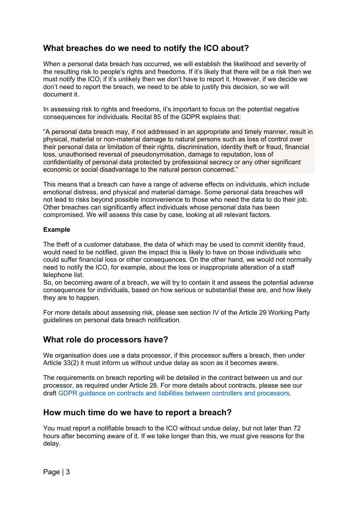## **What breaches do we need to notify the ICO about?**

When a personal data breach has occurred, we will establish the likelihood and severity of the resulting risk to people's rights and freedoms. If it's likely that there will be a risk then we must notify the ICO; if it's unlikely then we don't have to report it. However, if we decide we don't need to report the breach, we need to be able to justify this decision, so we will document it.

In assessing risk to rights and freedoms, it's important to focus on the potential negative consequences for individuals. Recital 85 of the GDPR explains that:

"A personal data breach may, if not addressed in an appropriate and timely manner, result in physical, material or non-material damage to natural persons such as loss of control over their personal data or limitation of their rights, discrimination, identity theft or fraud, financial loss, unauthorised reversal of pseudonymisation, damage to reputation, loss of confidentiality of personal data protected by professional secrecy or any other significant economic or social disadvantage to the natural person concerned."

This means that a breach can have a range of adverse effects on individuals, which include emotional distress, and physical and material damage. Some personal data breaches will not lead to risks beyond possible inconvenience to those who need the data to do their job. Other breaches can significantly affect individuals whose personal data has been compromised. We will assess this case by case, looking at all relevant factors.

#### **Example**

The theft of a customer database, the data of which may be used to commit identity fraud, would need to be notified, given the impact this is likely to have on those individuals who could suffer financial loss or other consequences. On the other hand, we would not normally need to notify the ICO, for example, about the loss or inappropriate alteration of a staff telephone list.

So, on becoming aware of a breach, we will try to contain it and assess the potential adverse consequences for individuals, based on how serious or substantial these are, and how likely they are to happen.

For more details about assessing risk, please see section IV of the Article 29 Working Party guidelines on personal data breach notification.

## **What role do processors have?**

We organisation does use a data processor, if this processor suffers a breach, then under Article 33(2) it must inform us without undue delay as soon as it becomes aware.

The requirements on breach reporting will be detailed in the contract between us and our processor, as required under Article 28. For more details about contracts, please see our draft GDPR guidance on contracts and liabilities between controllers and processors.

### **How much time do we have to report a breach?**

You must report a notifiable breach to the ICO without undue delay, but not later than 72 hours after becoming aware of it. If we take longer than this, we must give reasons for the delay.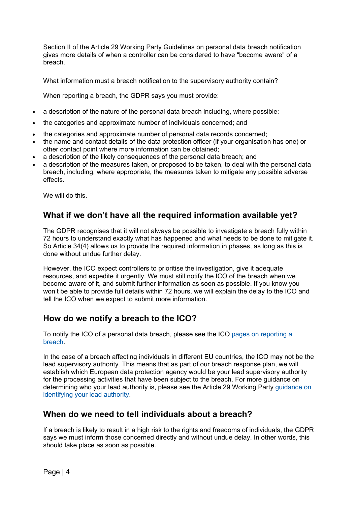Section II of the Article 29 Working Party Guidelines on personal data breach notification gives more details of when a controller can be considered to have "become aware" of a breach.

What information must a breach notification to the supervisory authority contain?

When reporting a breach, the GDPR says you must provide:

- a description of the nature of the personal data breach including, where possible:
- the categories and approximate number of individuals concerned; and
- the categories and approximate number of personal data records concerned;
- the name and contact details of the data protection officer (if your organisation has one) or other contact point where more information can be obtained;
- a description of the likely consequences of the personal data breach; and
- a description of the measures taken, or proposed to be taken, to deal with the personal data breach, including, where appropriate, the measures taken to mitigate any possible adverse effects.

We will do this.

### **What if we don't have all the required information available yet?**

The GDPR recognises that it will not always be possible to investigate a breach fully within 72 hours to understand exactly what has happened and what needs to be done to mitigate it. So Article 34(4) allows us to provide the required information in phases, as long as this is done without undue further delay.

However, the ICO expect controllers to prioritise the investigation, give it adequate resources, and expedite it urgently. We must still notify the ICO of the breach when we become aware of it, and submit further information as soon as possible. If you know you won't be able to provide full details within 72 hours, we will explain the delay to the ICO and tell the ICO when we expect to submit more information.

### **How do we notify a breach to the ICO?**

To notify the ICO of a personal data breach, please see the ICO pages on reporting a breach.

In the case of a breach affecting individuals in different EU countries, the ICO may not be the lead supervisory authority. This means that as part of our breach response plan, we will establish which European data protection agency would be your lead supervisory authority for the processing activities that have been subject to the breach. For more guidance on determining who your lead authority is, please see the Article 29 Working Party guidance on identifying your lead authority.

### **When do we need to tell individuals about a breach?**

If a breach is likely to result in a high risk to the rights and freedoms of individuals, the GDPR says we must inform those concerned directly and without undue delay. In other words, this should take place as soon as possible.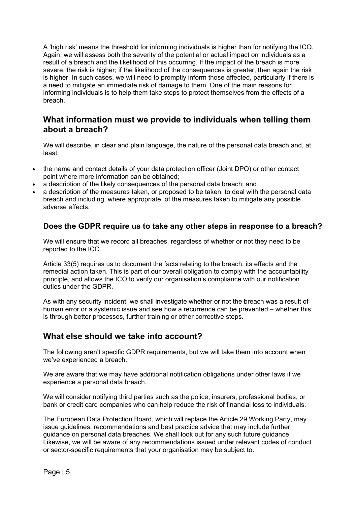A 'high risk' means the threshold for informing individuals is higher than for notifying the ICO. Again, we will assess both the severity of the potential or actual impact on individuals as a result of a breach and the likelihood of this occurring. If the impact of the breach is more severe, the risk is higher; if the likelihood of the consequences is greater, then again the risk is higher. In such cases, we will need to promptly inform those affected, particularly if there is a need to mitigate an immediate risk of damage to them. One of the main reasons for informing individuals is to help them take steps to protect themselves from the effects of a breach.

### **What information must we provide to individuals when telling them about a breach?**

We will describe, in clear and plain language, the nature of the personal data breach and, at least:

- the name and contact details of your data protection officer (Joint DPO) or other contact point where more information can be obtained;
- a description of the likely consequences of the personal data breach; and
- a description of the measures taken, or proposed to be taken, to deal with the personal data breach and including, where appropriate, of the measures taken to mitigate any possible adverse effects.

#### **Does the GDPR require us to take any other steps in response to a breach?**

We will ensure that we record all breaches, regardless of whether or not they need to be reported to the ICO.

Article 33(5) requires us to document the facts relating to the breach, its effects and the remedial action taken. This is part of our overall obligation to comply with the accountability principle, and allows the ICO to verify our organisation's compliance with our notification duties under the GDPR.

As with any security incident, we shall investigate whether or not the breach was a result of human error or a systemic issue and see how a recurrence can be prevented – whether this is through better processes, further training or other corrective steps.

### **What else should we take into account?**

The following aren't specific GDPR requirements, but we will take them into account when we've experienced a breach.

We are aware that we may have additional notification obligations under other laws if we experience a personal data breach.

We will consider notifying third parties such as the police, insurers, professional bodies, or bank or credit card companies who can help reduce the risk of financial loss to individuals.

The European Data Protection Board, which will replace the Article 29 Working Party, may issue guidelines, recommendations and best practice advice that may include further guidance on personal data breaches. We shall look out for any such future guidance. Likewise, we will be aware of any recommendations issued under relevant codes of conduct or sector-specific requirements that your organisation may be subject to.